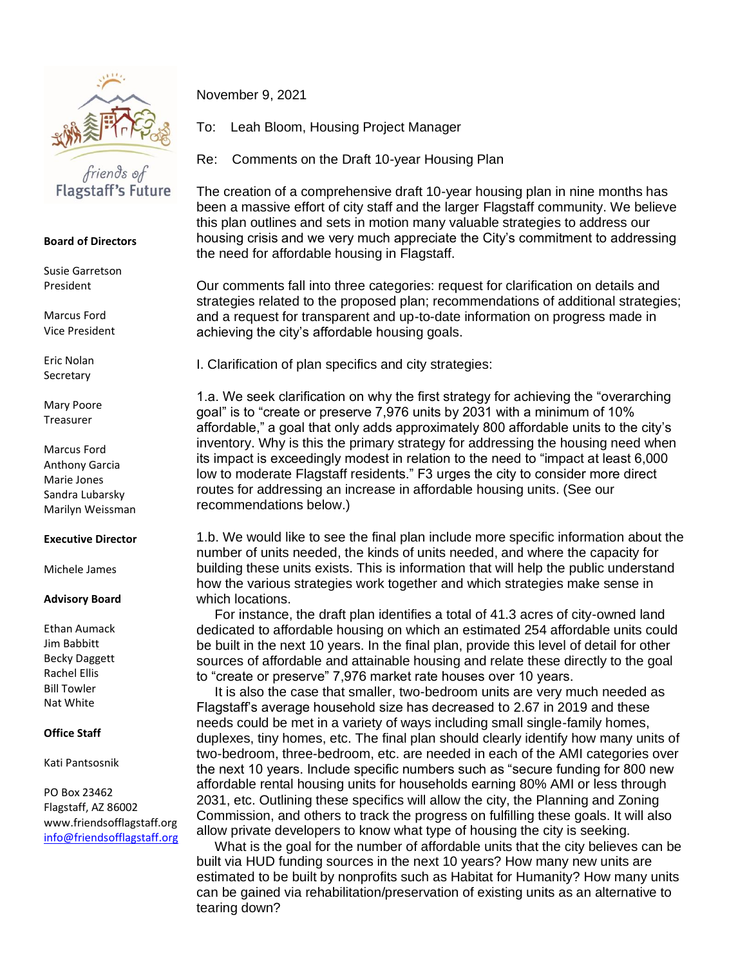

## **Board of Directors**

Susie Garretson President

Marcus Ford Vice President

Eric Nolan **Secretary** 

Mary Poore Treasurer

Marcus Ford Anthony Garcia Marie Jones Sandra Lubarsky Marilyn Weissman

## **Executive Director**

Michele James

## **Advisory Board**

Ethan Aumack Jim Babbitt Becky Daggett Rachel Ellis Bill Towler Nat White

## **Office Staff**

Kati Pantsosnik

PO Box 23462 Flagstaff, AZ 86002 www.friendsofflagstaff.org [info@friendsofflagstaff.org](mailto:info@friendsofflagstaff.org) November 9, 2021

To: Leah Bloom, Housing Project Manager

Re: Comments on the Draft 10-year Housing Plan

The creation of a comprehensive draft 10-year housing plan in nine months has been a massive effort of city staff and the larger Flagstaff community. We believe this plan outlines and sets in motion many valuable strategies to address our housing crisis and we very much appreciate the City's commitment to addressing the need for affordable housing in Flagstaff.

Our comments fall into three categories: request for clarification on details and strategies related to the proposed plan; recommendations of additional strategies; and a request for transparent and up-to-date information on progress made in achieving the city's affordable housing goals.

I. Clarification of plan specifics and city strategies:

1.a. We seek clarification on why the first strategy for achieving the "overarching goal" is to "create or preserve 7,976 units by 2031 with a minimum of 10% affordable," a goal that only adds approximately 800 affordable units to the city's inventory. Why is this the primary strategy for addressing the housing need when its impact is exceedingly modest in relation to the need to "impact at least 6,000 low to moderate Flagstaff residents." F3 urges the city to consider more direct routes for addressing an increase in affordable housing units. (See our recommendations below.)

1.b. We would like to see the final plan include more specific information about the number of units needed, the kinds of units needed, and where the capacity for building these units exists. This is information that will help the public understand how the various strategies work together and which strategies make sense in which locations.

 For instance, the draft plan identifies a total of 41.3 acres of city-owned land dedicated to affordable housing on which an estimated 254 affordable units could be built in the next 10 years. In the final plan, provide this level of detail for other sources of affordable and attainable housing and relate these directly to the goal to "create or preserve" 7,976 market rate houses over 10 years.

 It is also the case that smaller, two-bedroom units are very much needed as Flagstaff's average household size has decreased to 2.67 in 2019 and these needs could be met in a variety of ways including small single-family homes, duplexes, tiny homes, etc. The final plan should clearly identify how many units of two-bedroom, three-bedroom, etc. are needed in each of the AMI categories over the next 10 years. Include specific numbers such as "secure funding for 800 new affordable rental housing units for households earning 80% AMI or less through 2031, etc. Outlining these specifics will allow the city, the Planning and Zoning Commission, and others to track the progress on fulfilling these goals. It will also allow private developers to know what type of housing the city is seeking.

 What is the goal for the number of affordable units that the city believes can be built via HUD funding sources in the next 10 years? How many new units are estimated to be built by nonprofits such as Habitat for Humanity? How many units can be gained via rehabilitation/preservation of existing units as an alternative to tearing down?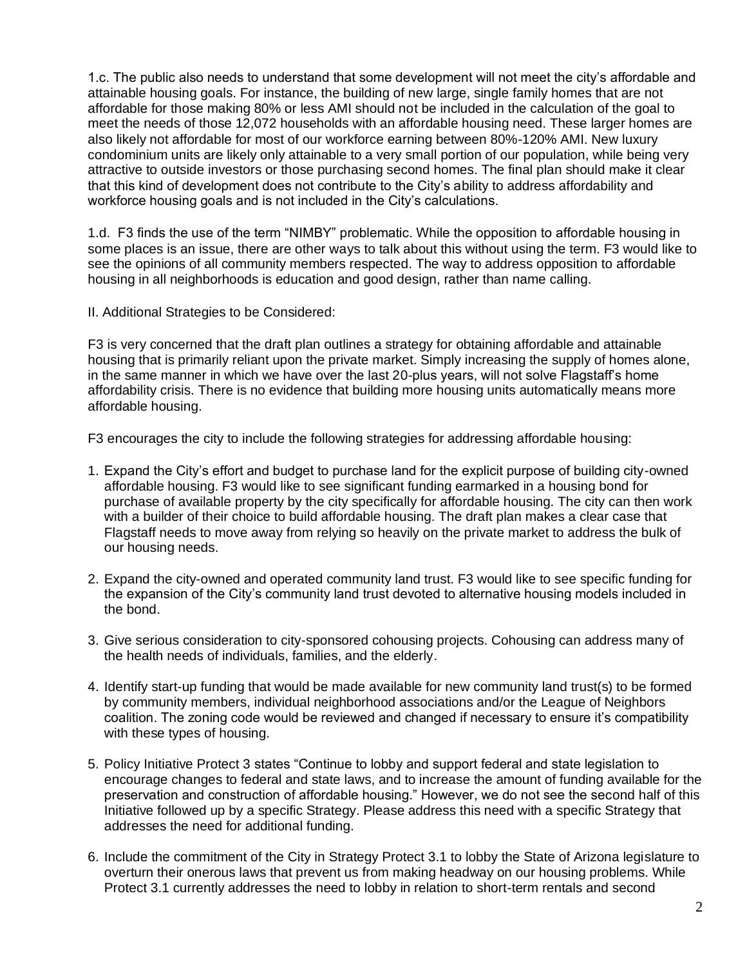1.c. The public also needs to understand that some development will not meet the city's affordable and attainable housing goals. For instance, the building of new large, single family homes that are not affordable for those making 80% or less AMI should not be included in the calculation of the goal to meet the needs of those 12,072 households with an affordable housing need. These larger homes are also likely not affordable for most of our workforce earning between 80%-120% AMI. New luxury condominium units are likely only attainable to a very small portion of our population, while being very attractive to outside investors or those purchasing second homes. The final plan should make it clear that this kind of development does not contribute to the City's ability to address affordability and workforce housing goals and is not included in the City's calculations.

1.d. F3 finds the use of the term "NIMBY" problematic. While the opposition to affordable housing in some places is an issue, there are other ways to talk about this without using the term. F3 would like to see the opinions of all community members respected. The way to address opposition to affordable housing in all neighborhoods is education and good design, rather than name calling.

II. Additional Strategies to be Considered:

F3 is very concerned that the draft plan outlines a strategy for obtaining affordable and attainable housing that is primarily reliant upon the private market. Simply increasing the supply of homes alone, in the same manner in which we have over the last 20-plus years, will not solve Flagstaff's home affordability crisis. There is no evidence that building more housing units automatically means more affordable housing.

F3 encourages the city to include the following strategies for addressing affordable housing:

- 1. Expand the City's effort and budget to purchase land for the explicit purpose of building city-owned affordable housing. F3 would like to see significant funding earmarked in a housing bond for purchase of available property by the city specifically for affordable housing. The city can then work with a builder of their choice to build affordable housing. The draft plan makes a clear case that Flagstaff needs to move away from relying so heavily on the private market to address the bulk of our housing needs.
- 2. Expand the city-owned and operated community land trust. F3 would like to see specific funding for the expansion of the City's community land trust devoted to alternative housing models included in the bond.
- 3. Give serious consideration to city-sponsored cohousing projects. Cohousing can address many of the health needs of individuals, families, and the elderly.
- 4. Identify start-up funding that would be made available for new community land trust(s) to be formed by community members, individual neighborhood associations and/or the League of Neighbors coalition. The zoning code would be reviewed and changed if necessary to ensure it's compatibility with these types of housing.
- 5. Policy Initiative Protect 3 states "Continue to lobby and support federal and state legislation to encourage changes to federal and state laws, and to increase the amount of funding available for the preservation and construction of affordable housing." However, we do not see the second half of this Initiative followed up by a specific Strategy. Please address this need with a specific Strategy that addresses the need for additional funding.
- 6. Include the commitment of the City in Strategy Protect 3.1 to lobby the State of Arizona legislature to overturn their onerous laws that prevent us from making headway on our housing problems. While Protect 3.1 currently addresses the need to lobby in relation to short-term rentals and second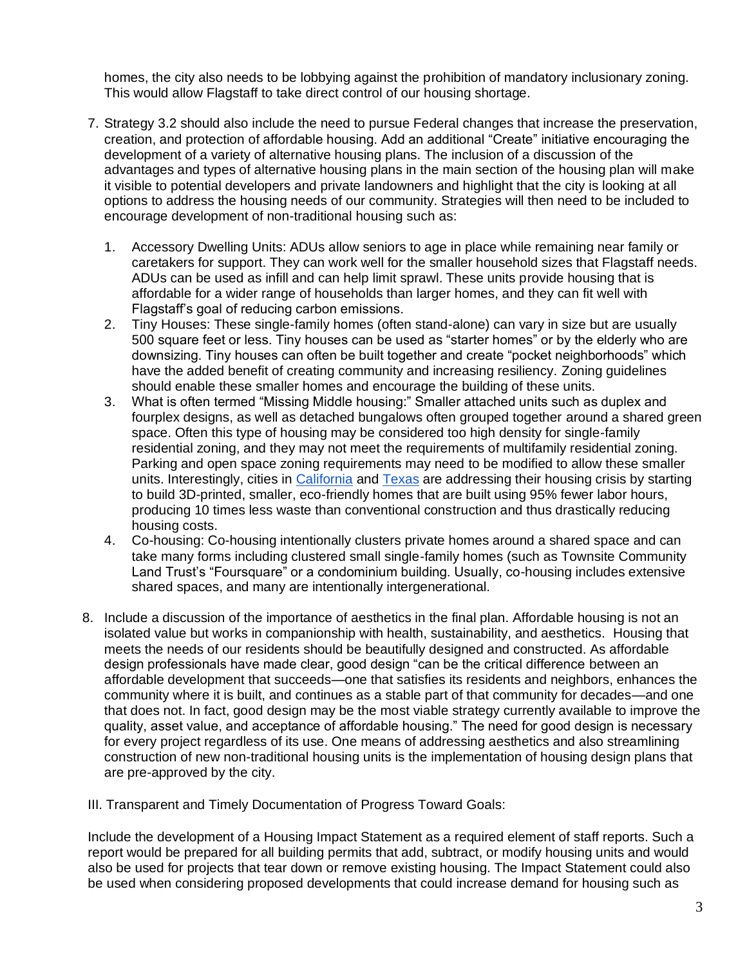homes, the city also needs to be lobbying against the prohibition of mandatory inclusionary zoning. This would allow Flagstaff to take direct control of our housing shortage.

- 7. Strategy 3.2 should also include the need to pursue Federal changes that increase the preservation, creation, and protection of affordable housing. Add an additional "Create" initiative encouraging the development of a variety of alternative housing plans. The inclusion of a discussion of the advantages and types of alternative housing plans in the main section of the housing plan will make it visible to potential developers and private landowners and highlight that the city is looking at all options to address the housing needs of our community. Strategies will then need to be included to encourage development of non-traditional housing such as:
	- 1. Accessory Dwelling Units: ADUs allow seniors to age in place while remaining near family or caretakers for support. They can work well for the smaller household sizes that Flagstaff needs. ADUs can be used as infill and can help limit sprawl. These units provide housing that is affordable for a wider range of households than larger homes, and they can fit well with Flagstaff's goal of reducing carbon emissions.
	- 2. Tiny Houses: These single-family homes (often stand-alone) can vary in size but are usually 500 square feet or less. Tiny houses can be used as "starter homes" or by the elderly who are downsizing. Tiny houses can often be built together and create "pocket neighborhoods" which have the added benefit of creating community and increasing resiliency. Zoning guidelines should enable these smaller homes and encourage the building of these units.
	- 3. What is often termed "Missing Middle housing:" Smaller attached units such as duplex and fourplex designs, as well as detached bungalows often grouped together around a shared green space. Often this type of housing may be considered too high density for single-family residential zoning, and they may not meet the requirements of multifamily residential zoning. Parking and open space zoning requirements may need to be modified to allow these smaller units. Interestingly, cities in [California](https://www.theguardian.com/technology/2021/mar/18/california-housing-coachella-3d-printed-houses) and [Texas](https://www.planetizen.com/news/2021/11/115167-worlds-largest-3d-printed-community-planned-austin) are addressing their housing crisis by starting to build 3D-printed, smaller, eco-friendly homes that are built using 95% fewer labor hours, producing 10 times less waste than conventional construction and thus drastically reducing housing costs.
	- 4. Co-housing: Co-housing intentionally clusters private homes around a shared space and can take many forms including clustered small single-family homes (such as Townsite Community Land Trust's "Foursquare" or a condominium building. Usually, co-housing includes extensive shared spaces, and many are intentionally intergenerational.
- 8. Include a discussion of the importance of aesthetics in the final plan. Affordable housing is not an isolated value but works in companionship with health, sustainability, and aesthetics. Housing that meets the needs of our residents should be beautifully designed and constructed. As affordable design professionals have made clear, good design "can be the critical difference between an affordable development that succeeds—one that satisfies its residents and neighbors, enhances the community where it is built, and continues as a stable part of that community for decades—and one that does not. In fact, good design may be the most viable strategy currently available to improve the quality, asset value, and acceptance of affordable housing." The need for good design is necessary for every project regardless of its use. One means of addressing aesthetics and also streamlining construction of new non-traditional housing units is the implementation of housing design plans that are pre-approved by the city.
- III. Transparent and Timely Documentation of Progress Toward Goals:

Include the development of a Housing Impact Statement as a required element of staff reports. Such a report would be prepared for all building permits that add, subtract, or modify housing units and would also be used for projects that tear down or remove existing housing. The Impact Statement could also be used when considering proposed developments that could increase demand for housing such as